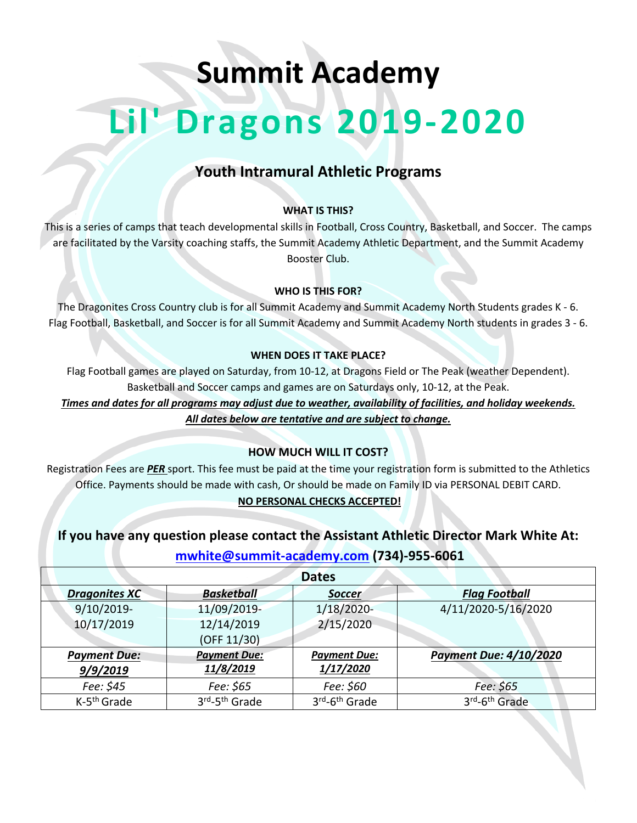# **Summit Academy**

# **Lil' Dragons 2019-2020**

## **Youth Intramural Athletic Programs**

#### **WHAT IS THIS?**

This is a series of camps that teach developmental skills in Football, Cross Country, Basketball, and Soccer. The camps are facilitated by the Varsity coaching staffs, the Summit Academy Athletic Department, and the Summit Academy Booster Club.

#### **WHO IS THIS FOR?**

The Dragonites Cross Country club is for all Summit Academy and Summit Academy North Students grades K - 6. Flag Football, Basketball, and Soccer is for all Summit Academy and Summit Academy North students in grades 3 - 6.

#### **WHEN DOES IT TAKE PLACE?**

Flag Football games are played on Saturday, from 10-12, at Dragons Field or The Peak (weather Dependent). Basketball and Soccer camps and games are on Saturdays only, 10-12, at the Peak.

*Times and dates for all programs may adjust due to weather, availability of facilities, and holiday weekends.*

*All dates below are tentative and are subject to change.*

#### **HOW MUCH WILL IT COST?**

Registration Fees are *PER* sport. This fee must be paid at the time your registration form is submitted to the Athletics Office. Payments should be made with cash, Or should be made on Family ID via PERSONAL DEBIT CARD.

#### **NO PERSONAL CHECKS ACCEPTED!**

### **If you have any question please contact the Assistant Athletic Director Mark White At: mwhite@summit-academy.com (734)-955-6061**

| <b>Dates</b>            |                           |                           |                               |  |
|-------------------------|---------------------------|---------------------------|-------------------------------|--|
| <b>Dragonites XC</b>    | <b>Basketball</b>         | <b>Soccer</b>             | <b>Flag Football</b>          |  |
| 9/10/2019-              | 11/09/2019-               | $1/18/2020$ -             | 4/11/2020-5/16/2020           |  |
| 10/17/2019              | 12/14/2019                | 2/15/2020                 |                               |  |
|                         | (OFF 11/30)               |                           |                               |  |
| <b>Payment Due:</b>     | <b>Payment Due:</b>       | <b>Payment Due:</b>       | <b>Payment Due: 4/10/2020</b> |  |
| 9/9/2019                | 11/8/2019                 | 1/17/2020                 |                               |  |
| Fee: \$45               | Fee: \$65                 | Fee: \$60                 | Fee: \$65                     |  |
| K-5 <sup>th</sup> Grade | 3rd-5 <sup>th</sup> Grade | 3rd-6 <sup>th</sup> Grade | 3rd-6 <sup>th</sup> Grade     |  |